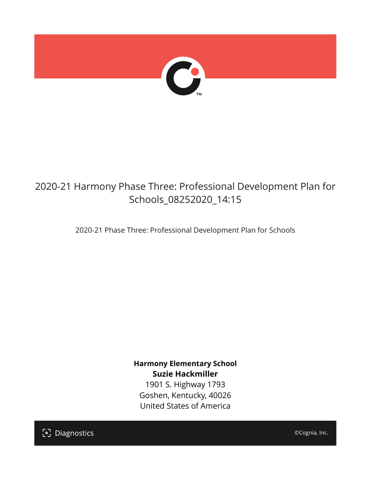

## 2020-21 Harmony Phase Three: Professional Development Plan for Schools\_08252020\_14:15

2020-21 Phase Three: Professional Development Plan for Schools

**Harmony Elementary School Suzie Hackmiller**

1901 S. Highway 1793 Goshen, Kentucky, 40026 United States of America

[၁] Diagnostics

©Cognia, Inc.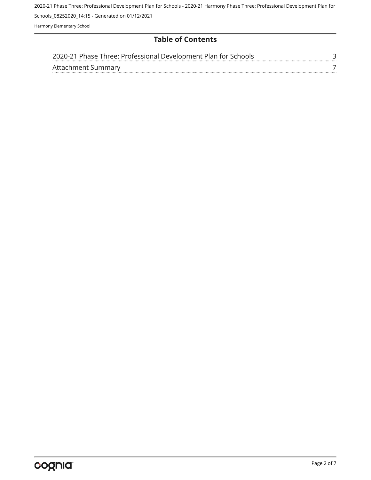Harmony Elementary School

## **Table of Contents**

|                    | 2020-21 Phase Three: Professional Development Plan for Schools |  |
|--------------------|----------------------------------------------------------------|--|
| Attachment Summary |                                                                |  |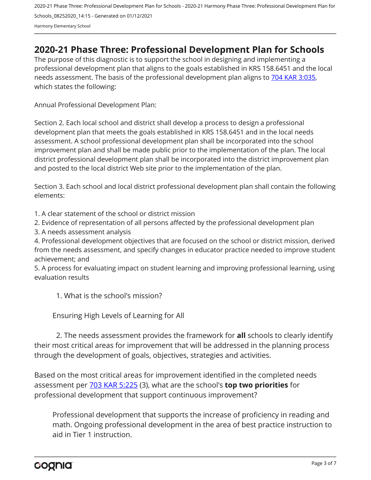## <span id="page-2-0"></span>**2020-21 Phase Three: Professional Development Plan for Schools**

The purpose of this diagnostic is to support the school in designing and implementing a professional development plan that aligns to the goals established in KRS 158.6451 and the local needs assessment. The basis of the professional development plan aligns to [704 KAR 3:035,](https://apps.legislature.ky.gov/Law/kar/704/003/035.pdf) which states the following:

Annual Professional Development Plan:

Section 2. Each local school and district shall develop a process to design a professional development plan that meets the goals established in KRS 158.6451 and in the local needs assessment. A school professional development plan shall be incorporated into the school improvement plan and shall be made public prior to the implementation of the plan. The local district professional development plan shall be incorporated into the district improvement plan and posted to the local district Web site prior to the implementation of the plan.

Section 3. Each school and local district professional development plan shall contain the following elements:

1. A clear statement of the school or district mission

2. Evidence of representation of all persons affected by the professional development plan

3. A needs assessment analysis

4. Professional development objectives that are focused on the school or district mission, derived from the needs assessment, and specify changes in educator practice needed to improve student achievement; and

5. A process for evaluating impact on student learning and improving professional learning, using evaluation results

1. What is the school's mission?

Ensuring High Levels of Learning for All

2. The needs assessment provides the framework for **all** schools to clearly identify their most critical areas for improvement that will be addressed in the planning process through the development of goals, objectives, strategies and activities.

Based on the most critical areas for improvement identified in the completed needs assessment per [703 KAR 5:225](https://apps.legislature.ky.gov/law/kar/703/005/225.pdf) (3), what are the school's **top two priorities** for professional development that support continuous improvement?

Professional development that supports the increase of proficiency in reading and math. Ongoing professional development in the area of best practice instruction to aid in Tier 1 instruction.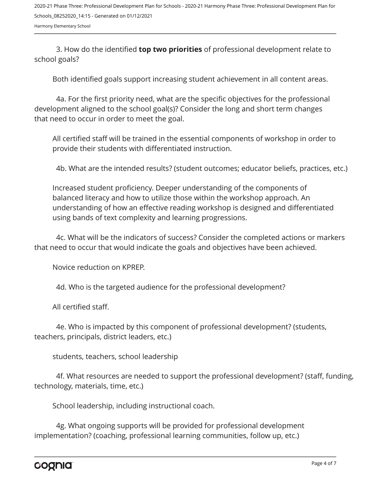Harmony Elementary School

3. How do the identified **top two priorities** of professional development relate to school goals?

Both identified goals support increasing student achievement in all content areas.

4a. For the first priority need, what are the specific objectives for the professional development aligned to the school goal(s)? Consider the long and short term changes that need to occur in order to meet the goal.

All certified staff will be trained in the essential components of workshop in order to provide their students with differentiated instruction.

4b. What are the intended results? (student outcomes; educator beliefs, practices, etc.)

Increased student proficiency. Deeper understanding of the components of balanced literacy and how to utilize those within the workshop approach. An understanding of how an effective reading workshop is designed and differentiated using bands of text complexity and learning progressions.

4c. What will be the indicators of success? Consider the completed actions or markers that need to occur that would indicate the goals and objectives have been achieved.

Novice reduction on KPREP.

4d. Who is the targeted audience for the professional development?

All certified staff.

4e. Who is impacted by this component of professional development? (students, teachers, principals, district leaders, etc.)

students, teachers, school leadership

4f. What resources are needed to support the professional development? (staff, funding, technology, materials, time, etc.)

School leadership, including instructional coach.

4g. What ongoing supports will be provided for professional development implementation? (coaching, professional learning communities, follow up, etc.)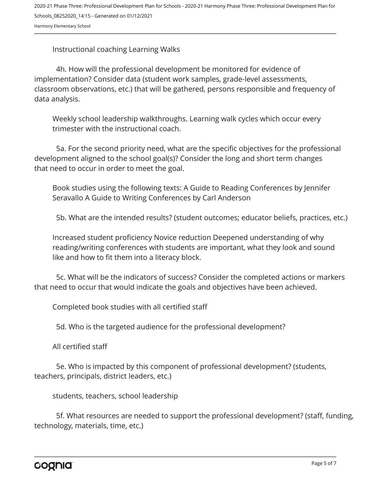Instructional coaching Learning Walks

4h. How will the professional development be monitored for evidence of implementation? Consider data (student work samples, grade-level assessments, classroom observations, etc.) that will be gathered, persons responsible and frequency of data analysis.

Weekly school leadership walkthroughs. Learning walk cycles which occur every trimester with the instructional coach.

5a. For the second priority need, what are the specific objectives for the professional development aligned to the school goal(s)? Consider the long and short term changes that need to occur in order to meet the goal.

Book studies using the following texts: A Guide to Reading Conferences by Jennifer Seravallo A Guide to Writing Conferences by Carl Anderson

5b. What are the intended results? (student outcomes; educator beliefs, practices, etc.)

Increased student proficiency Novice reduction Deepened understanding of why reading/writing conferences with students are important, what they look and sound like and how to fit them into a literacy block.

5c. What will be the indicators of success? Consider the completed actions or markers that need to occur that would indicate the goals and objectives have been achieved.

Completed book studies with all certified staff

5d. Who is the targeted audience for the professional development?

All certified staff

5e. Who is impacted by this component of professional development? (students, teachers, principals, district leaders, etc.)

students, teachers, school leadership

5f. What resources are needed to support the professional development? (staff, funding, technology, materials, time, etc.)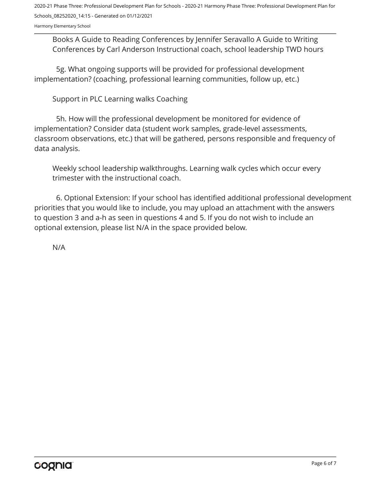Harmony Elementary School

Books A Guide to Reading Conferences by Jennifer Seravallo A Guide to Writing Conferences by Carl Anderson Instructional coach, school leadership TWD hours

5g. What ongoing supports will be provided for professional development implementation? (coaching, professional learning communities, follow up, etc.)

Support in PLC Learning walks Coaching

5h. How will the professional development be monitored for evidence of implementation? Consider data (student work samples, grade-level assessments, classroom observations, etc.) that will be gathered, persons responsible and frequency of data analysis.

Weekly school leadership walkthroughs. Learning walk cycles which occur every trimester with the instructional coach.

6. Optional Extension: If your school has identified additional professional development priorities that you would like to include, you may upload an attachment with the answers to question 3 and a-h as seen in questions 4 and 5. If you do not wish to include an optional extension, please list N/A in the space provided below.

N/A